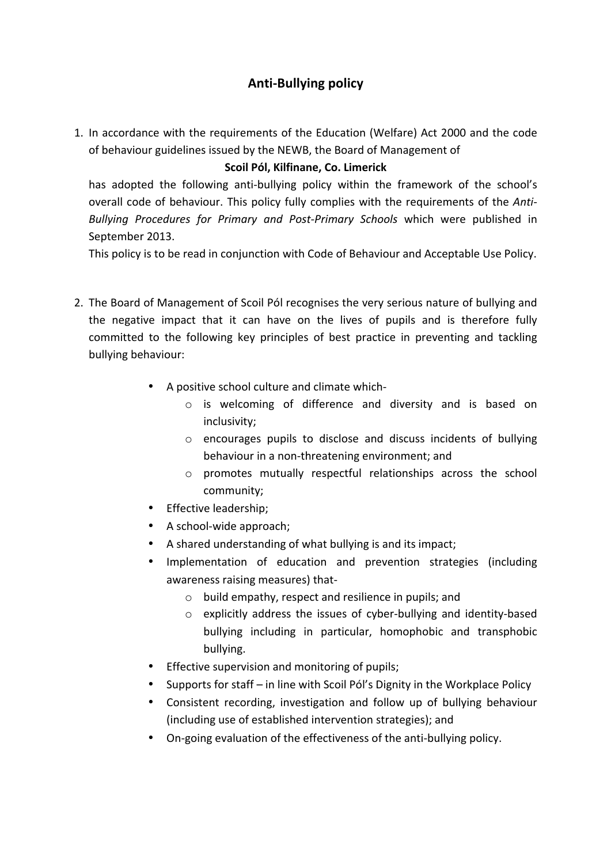# **Anti-Bullying policy**

1. In accordance with the requirements of the Education (Welfare) Act 2000 and the code of behaviour guidelines issued by the NEWB, the Board of Management of

# **Scoil Pól, Kilfinane, Co. Limerick**

has adopted the following anti-bullying policy within the framework of the school's overall code of behaviour. This policy fully complies with the requirements of the *Anti-Bullying Procedures for Primary and Post-Primary Schools* which were published in September 2013.

This policy is to be read in conjunction with Code of Behaviour and Acceptable Use Policy.

- 2. The Board of Management of Scoil Pól recognises the very serious nature of bullying and the negative impact that it can have on the lives of pupils and is therefore fully committed to the following key principles of best practice in preventing and tackling bullying behaviour:
	- A positive school culture and climate which
		- o is welcoming of difference and diversity and is based on inclusivity;
		- $\circ$  encourages pupils to disclose and discuss incidents of bullying behaviour in a non-threatening environment; and
		- o promotes mutually respectful relationships across the school community;
	- Effective leadership;
	- $\bullet$  A school-wide approach;
	- A shared understanding of what bullying is and its impact;
	- Implementation of education and prevention strategies (including awareness raising measures) that-
		- $\circ$  build empathy, respect and resilience in pupils; and
		- $\circ$  explicitly address the issues of cyber-bullying and identity-based bullying including in particular, homophobic and transphobic bullying.
	- Effective supervision and monitoring of pupils;
	- Supports for staff in line with Scoil Pól's Dignity in the Workplace Policy
	- Consistent recording, investigation and follow up of bullying behaviour (including use of established intervention strategies); and
	- On-going evaluation of the effectiveness of the anti-bullying policy.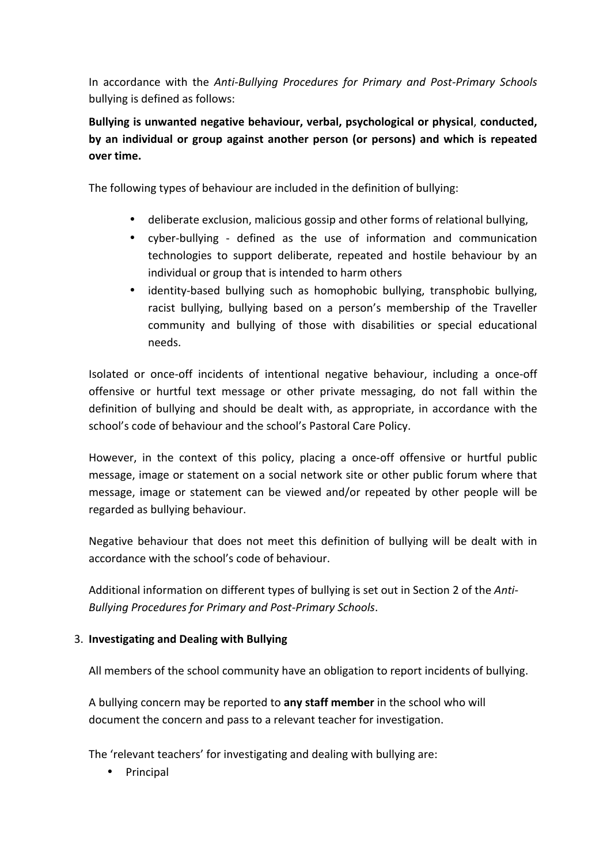In accordance with the *Anti-Bullying Procedures for Primary and Post-Primary Schools* bullying is defined as follows:

Bullying is unwanted negative behaviour, verbal, psychological or physical, conducted, by an individual or group against another person (or persons) and which is repeated **over time.** 

The following types of behaviour are included in the definition of bullying:

- deliberate exclusion, malicious gossip and other forms of relational bullying,
- cyber-bullying defined as the use of information and communication technologies to support deliberate, repeated and hostile behaviour by an individual or group that is intended to harm others
- identity-based bullying such as homophobic bullying, transphobic bullying, racist bullying, bullying based on a person's membership of the Traveller community and bullying of those with disabilities or special educational needs.

Isolated or once-off incidents of intentional negative behaviour, including a once-off offensive or hurtful text message or other private messaging, do not fall within the definition of bullying and should be dealt with, as appropriate, in accordance with the school's code of behaviour and the school's Pastoral Care Policy.

However, in the context of this policy, placing a once-off offensive or hurtful public message, image or statement on a social network site or other public forum where that message, image or statement can be viewed and/or repeated by other people will be regarded as bullying behaviour.

Negative behaviour that does not meet this definition of bullying will be dealt with in accordance with the school's code of behaviour.

Additional information on different types of bullying is set out in Section 2 of the *Anti-Bullying Procedures for Primary and Post-Primary Schools*.

## 3. **Investigating and Dealing with Bullying**

All members of the school community have an obligation to report incidents of bullying.

A bullying concern may be reported to **any staff member** in the school who will document the concern and pass to a relevant teacher for investigation.

The 'relevant teachers' for investigating and dealing with bullying are:

• Principal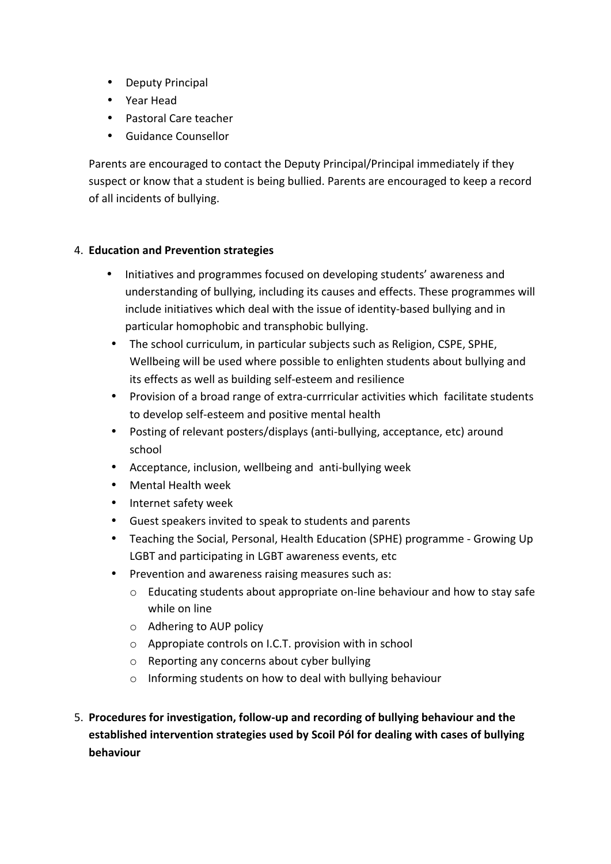- Deputy Principal
- Year Head
- Pastoral Care teacher
- Guidance Counsellor

Parents are encouraged to contact the Deputy Principal/Principal immediately if they suspect or know that a student is being bullied. Parents are encouraged to keep a record of all incidents of bullying.

## 4. **Education and Prevention strategies**

- Initiatives and programmes focused on developing students' awareness and understanding of bullying, including its causes and effects. These programmes will include initiatives which deal with the issue of identity-based bullying and in particular homophobic and transphobic bullying.
- The school curriculum, in particular subjects such as Religion, CSPE, SPHE, Wellbeing will be used where possible to enlighten students about bullying and its effects as well as building self-esteem and resilience
- Provision of a broad range of extra-currricular activities which facilitate students to develop self-esteem and positive mental health
- Posting of relevant posters/displays (anti-bullying, acceptance, etc) around school
- Acceptance, inclusion, wellbeing and anti-bullying week
- Mental Health week
- Internet safety week
- Guest speakers invited to speak to students and parents
- Teaching the Social, Personal, Health Education (SPHE) programme Growing Up LGBT and participating in LGBT awareness events, etc
- Prevention and awareness raising measures such as:
	- $\circ$  Educating students about appropriate on-line behaviour and how to stay safe while on line
	- $\circ$  Adhering to AUP policy
	- $\circ$  Appropiate controls on I.C.T. provision with in school
	- $\circ$  Reporting any concerns about cyber bullying
	- $\circ$  Informing students on how to deal with bullying behaviour
- 5. Procedures for investigation, follow-up and recording of bullying behaviour and the established intervention strategies used by Scoil Pól for dealing with cases of bullying **behaviour**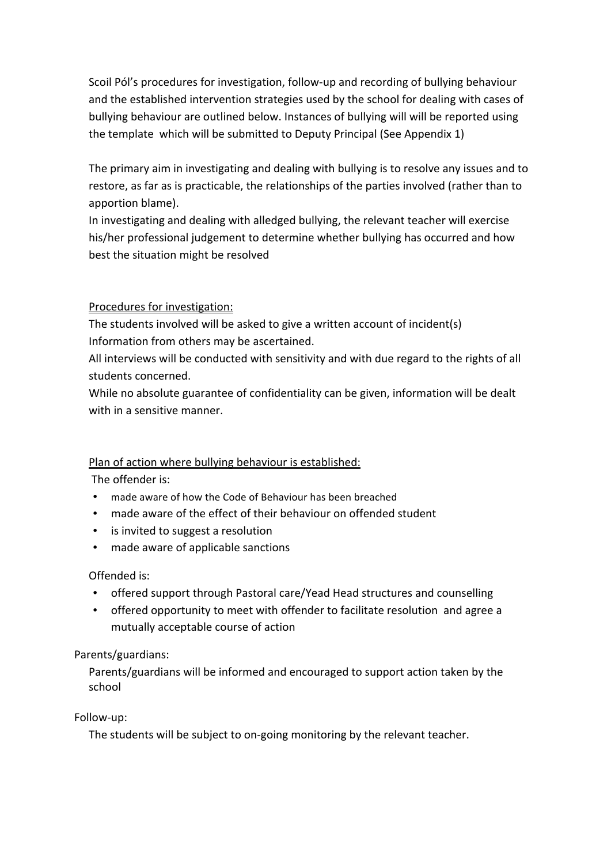Scoil Pól's procedures for investigation, follow-up and recording of bullying behaviour and the established intervention strategies used by the school for dealing with cases of bullying behaviour are outlined below. Instances of bullying will will be reported using the template which will be submitted to Deputy Principal (See Appendix 1)

The primary aim in investigating and dealing with bullying is to resolve any issues and to restore, as far as is practicable, the relationships of the parties involved (rather than to apportion blame).

In investigating and dealing with alledged bullying, the relevant teacher will exercise his/her professional judgement to determine whether bullying has occurred and how best the situation might be resolved

# Procedures for investigation:

The students involved will be asked to give a written account of incident(s) Information from others may be ascertained.

All interviews will be conducted with sensitivity and with due regard to the rights of all students concerned.

While no absolute guarantee of confidentiality can be given, information will be dealt with in a sensitive manner.

# Plan of action where bullying behaviour is established:

The offender is:

- made aware of how the Code of Behaviour has been breached
- made aware of the effect of their behaviour on offended student
- is invited to suggest a resolution
- made aware of applicable sanctions

# Offended is:

- offered support through Pastoral care/Yead Head structures and counselling
- offered opportunity to meet with offender to facilitate resolution and agree a mutually acceptable course of action

# Parents/guardians:

Parents/guardians will be informed and encouraged to support action taken by the school

# Follow-up:

The students will be subject to on-going monitoring by the relevant teacher.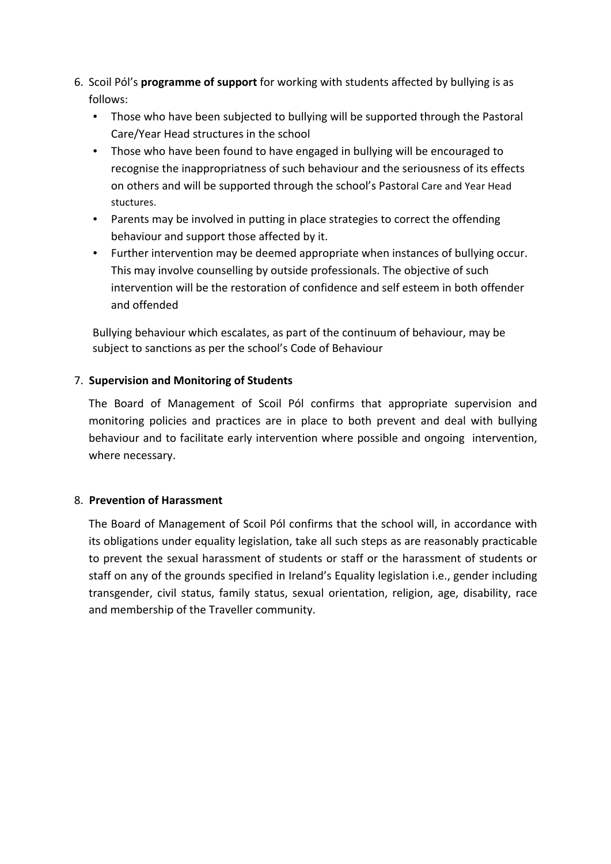- 6. Scoil Pól's **programme of support** for working with students affected by bullying is as follows:
	- Those who have been subjected to bullying will be supported through the Pastoral Care/Year Head structures in the school
	- Those who have been found to have engaged in bullying will be encouraged to recognise the inappropriatness of such behaviour and the seriousness of its effects on others and will be supported through the school's Pastoral Care and Year Head stuctures.
	- Parents may be involved in putting in place strategies to correct the offending behaviour and support those affected by it.
	- Further intervention may be deemed appropriate when instances of bullying occur. This may involve counselling by outside professionals. The objective of such intervention will be the restoration of confidence and self esteem in both offender and offended

Bullying behaviour which escalates, as part of the continuum of behaviour, may be subject to sanctions as per the school's Code of Behaviour

## 7. **Supervision and Monitoring of Students**

The Board of Management of Scoil Pól confirms that appropriate supervision and monitoring policies and practices are in place to both prevent and deal with bullying behaviour and to facilitate early intervention where possible and ongoing intervention, where necessary.

#### 8. **Prevention of Harassment**

The Board of Management of Scoil Pól confirms that the school will, in accordance with its obligations under equality legislation, take all such steps as are reasonably practicable to prevent the sexual harassment of students or staff or the harassment of students or staff on any of the grounds specified in Ireland's Equality legislation i.e., gender including transgender, civil status, family status, sexual orientation, religion, age, disability, race and membership of the Traveller community.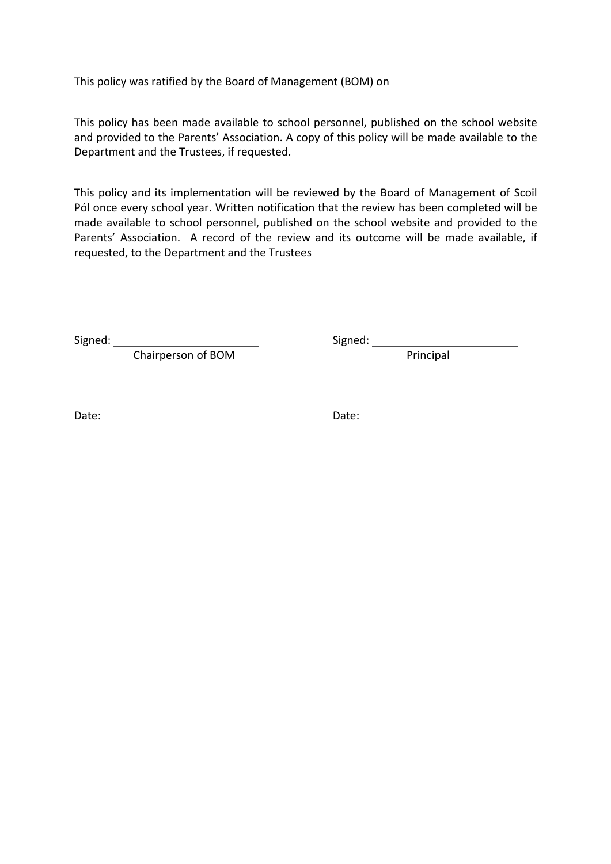This policy was ratified by the Board of Management (BOM) on

This policy has been made available to school personnel, published on the school website and provided to the Parents' Association. A copy of this policy will be made available to the Department and the Trustees, if requested.

This policy and its implementation will be reviewed by the Board of Management of Scoil Pól once every school year. Written notification that the review has been completed will be made available to school personnel, published on the school website and provided to the Parents' Association. A record of the review and its outcome will be made available, if requested, to the Department and the Trustees

Signed: Signed: 

Chairperson of BOM Principal

Date: Date: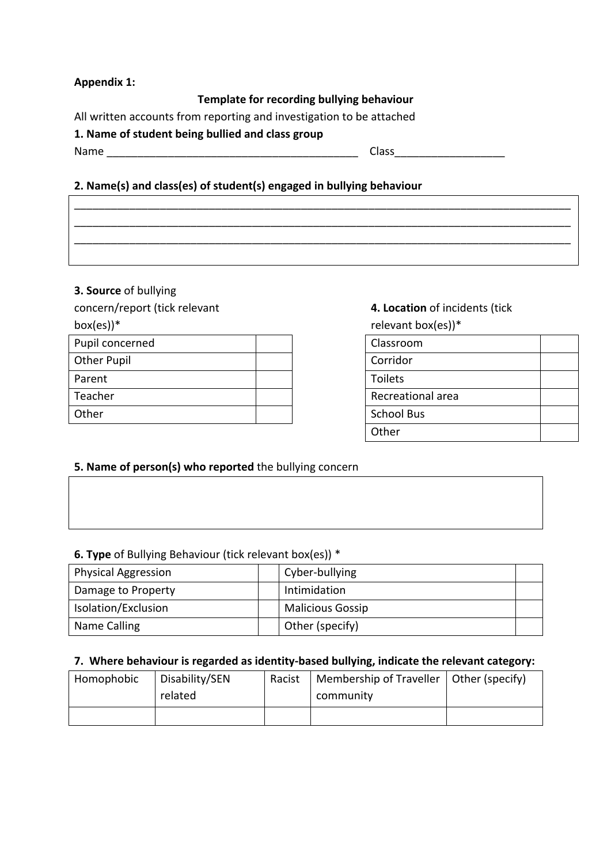## **Appendix 1:**

#### **Template for recording bullying behaviour**

All written accounts from reporting and investigation to be attached

#### 1. Name of student being bullied and class group

Name Class

## **2. Name(s) and class(es) of student(s) engaged in bullying behaviour**

|  |  | <u> a shekara ta 1999 a shekara ta 1999 a shekara ta 1999 a shekara ta 1999 a shekara ta 1999 a shekara ta 1999 a shekara ta 1999 a shekara ta 1999 a shekara ta 1999 a shekara ta 1999 a shekara ta 1999 a shekara ta 1999 a sh</u> |
|--|--|--------------------------------------------------------------------------------------------------------------------------------------------------------------------------------------------------------------------------------------|
|  |  |                                                                                                                                                                                                                                      |

## **3. Source** of bullying

concern/report (tick relevant

box(es))\*

| Pupil concerned    |  | Classroom         |
|--------------------|--|-------------------|
| <b>Other Pupil</b> |  | Corridor          |
| Parent             |  | <b>Toilets</b>    |
| Teacher            |  | Recreational area |
| Other              |  | <b>School Bus</b> |
|                    |  |                   |

# **4. Location** of incidents (tick

relevant  $box(es)$ <sup>\*</sup>

| Classroom         |  |
|-------------------|--|
| Corridor          |  |
| Toilets           |  |
| Recreational area |  |
| <b>School Bus</b> |  |
| Other             |  |

## **5. Name of person(s) who reported** the bullying concern

## **6. Type** of Bullying Behaviour (tick relevant box(es)) \*

| <b>Physical Aggression</b> | Cyber-bullying          |  |
|----------------------------|-------------------------|--|
| Damage to Property         | Intimidation            |  |
| Isolation/Exclusion        | <b>Malicious Gossip</b> |  |
| Name Calling               | Other (specify)         |  |

## 7. Where behaviour is regarded as identity-based bullying, indicate the relevant category:

| Homophobic | Disability/SEN | Racist | Membership of Traveller   Other (specify) |  |
|------------|----------------|--------|-------------------------------------------|--|
|            | related        |        | community                                 |  |
|            |                |        |                                           |  |